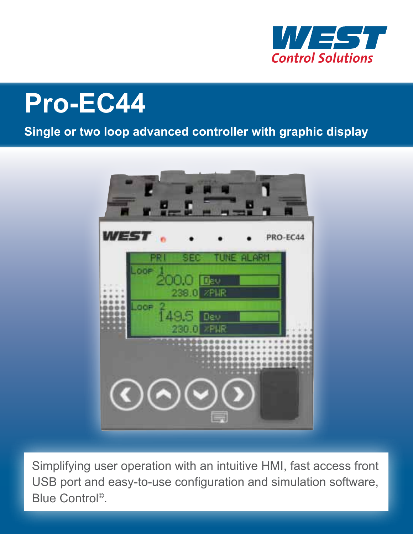

# **Pro-EC44**

#### **Single or two loop advanced controller with graphic display**



Simplifying user operation with an intuitive HMI, fast access front USB port and easy-to-use configuration and simulation software, Blue Control©.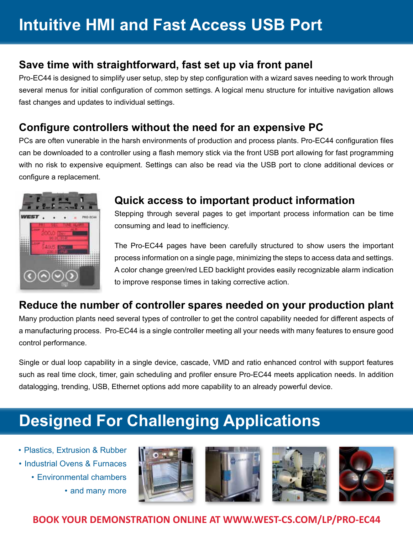# **Intuitive HMI and Fast Access USB Port**

#### **Save time with straightforward, fast set up via front panel**

Pro-EC44 is designed to simplify user setup, step by step configuration with a wizard saves needing to work through several menus for initial configuration of common settings. A logical menu structure for intuitive navigation allows fast changes and updates to individual settings.

#### **Configure controllers without the need for an expensive PC**

PCs are often vunerable in the harsh environments of production and process plants. Pro-EC44 configuration files can be downloaded to a controller using a flash memory stick via the front USB port allowing for fast programming with no risk to expensive equipment. Settings can also be read via the USB port to clone additional devices or configure a replacement.



#### **Quick access to important product information**

Stepping through several pages to get important process information can be time consuming and lead to inefficiency.

The Pro-EC44 pages have been carefully structured to show users the important process information on a single page, minimizing the steps to access data and settings. A color change green/red LED backlight provides easily recognizable alarm indication to improve response times in taking corrective action.

#### **Reduce the number of controller spares needed on your production plant**

Many production plants need several types of controller to get the control capability needed for different aspects of a manufacturing process. Pro-EC44 is a single controller meeting all your needs with many features to ensure good control performance.

Single or dual loop capability in a single device, cascade, VMD and ratio enhanced control with support features such as real time clock, timer, gain scheduling and profiler ensure Pro-EC44 meets application needs. In addition datalogging, trending, USB, Ethernet options add more capability to an already powerful device.

# **Designed For Challenging Applications**

- Plastics, Extrusion & Rubber
- Industrial Ovens & Furnaces
	- Environmental chambers
		- and many more









#### **BOOK YOUR DEMONSTRATION ONLINE AT WWW.WEST-CS.COM/LP/PRO-EC44**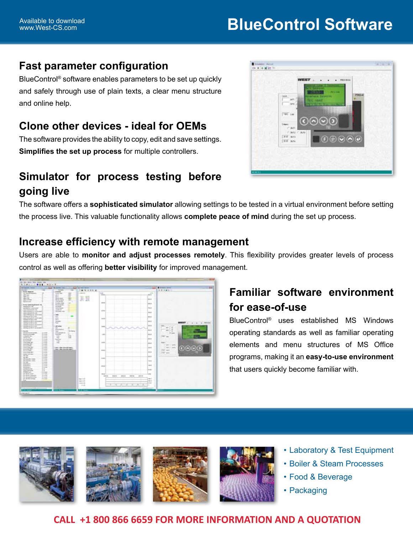#### **Fast parameter configuration**

BlueControl® software enables parameters to be set up quickly and safely through use of plain texts, a clear menu structure and online help.

#### **Clone other devices - ideal for OEMs**

The software provides the ability to copy, edit and save settings. **Simplifies the set up process** for multiple controllers.



#### **Simulator for process testing before going live**

The software offers a **sophisticated simulator** allowing settings to be tested in a virtual environment before setting the process live. This valuable functionality allows **complete peace of mind** during the set up process.

#### **Increase efficiency with remote management**

Users are able to **monitor and adjust processes remotely**. This flexibility provides greater levels of process control as well as offering **better visibility** for improved management.



#### **Familiar software environment for ease-of-use**

BlueControl® uses established MS Windows operating standards as well as familiar operating elements and menu structures of MS Office programs, making it an **easy-to-use environment**  that users quickly become familiar with.



#### **CALL +1 800 866 6659 FOR MORE INFORMATION AND A QUOTATION**